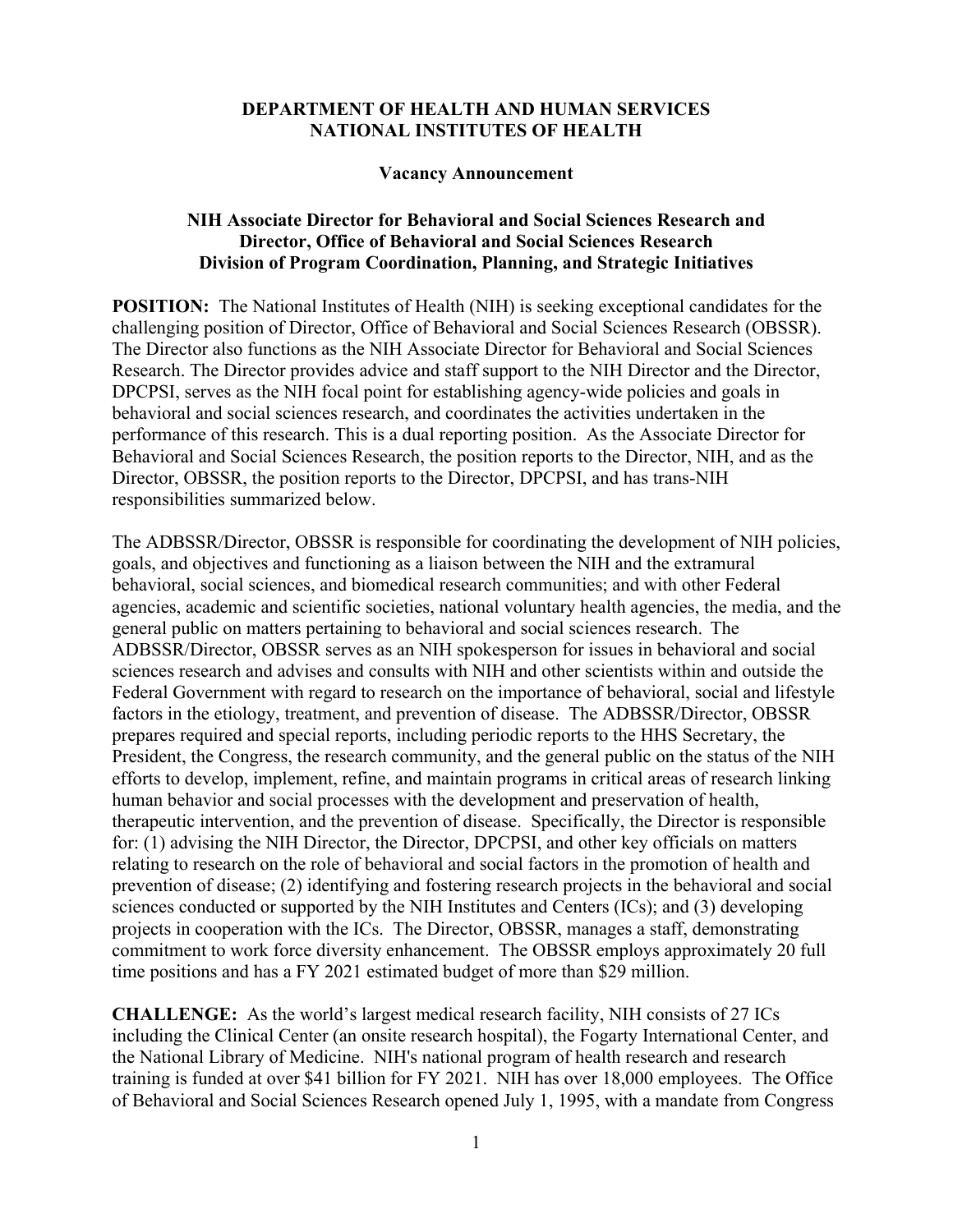#### **DEPARTMENT OF HEALTH AND HUMAN SERVICES NATIONAL INSTITUTES OF HEALTH**

#### **Vacancy Announcement**

### **NIH Associate Director for Behavioral and Social Sciences Research and Director, Office of Behavioral and Social Sciences Research Division of Program Coordination, Planning, and Strategic Initiatives**

**POSITION:** The National Institutes of Health (NIH) is seeking exceptional candidates for the challenging position of Director, Office of Behavioral and Social Sciences Research (OBSSR). The Director also functions as the NIH Associate Director for Behavioral and Social Sciences Research. The Director provides advice and staff support to the NIH Director and the Director, DPCPSI, serves as the NIH focal point for establishing agency-wide policies and goals in behavioral and social sciences research, and coordinates the activities undertaken in the performance of this research. This is a dual reporting position. As the Associate Director for Behavioral and Social Sciences Research, the position reports to the Director, NIH, and as the Director, OBSSR, the position reports to the Director, DPCPSI, and has trans-NIH responsibilities summarized below.

The ADBSSR/Director, OBSSR is responsible for coordinating the development of NIH policies, goals, and objectives and functioning as a liaison between the NIH and the extramural behavioral, social sciences, and biomedical research communities; and with other Federal agencies, academic and scientific societies, national voluntary health agencies, the media, and the general public on matters pertaining to behavioral and social sciences research. The ADBSSR/Director, OBSSR serves as an NIH spokesperson for issues in behavioral and social sciences research and advises and consults with NIH and other scientists within and outside the Federal Government with regard to research on the importance of behavioral, social and lifestyle factors in the etiology, treatment, and prevention of disease. The ADBSSR/Director, OBSSR prepares required and special reports, including periodic reports to the HHS Secretary, the President, the Congress, the research community, and the general public on the status of the NIH efforts to develop, implement, refine, and maintain programs in critical areas of research linking human behavior and social processes with the development and preservation of health, therapeutic intervention, and the prevention of disease. Specifically, the Director is responsible for: (1) advising the NIH Director, the Director, DPCPSI, and other key officials on matters relating to research on the role of behavioral and social factors in the promotion of health and prevention of disease; (2) identifying and fostering research projects in the behavioral and social sciences conducted or supported by the NIH Institutes and Centers (ICs); and (3) developing projects in cooperation with the ICs. The Director, OBSSR, manages a staff, demonstrating commitment to work force diversity enhancement. The OBSSR employs approximately 20 full time positions and has a FY 2021 estimated budget of more than \$29 million.

**CHALLENGE:** As the world's largest medical research facility, NIH consists of 27 ICs including the Clinical Center (an onsite research hospital), the Fogarty International Center, and the National Library of Medicine. NIH's national program of health research and research training is funded at over \$41 billion for FY 2021. NIH has over 18,000 employees. The Office of Behavioral and Social Sciences Research opened July 1, 1995, with a mandate from Congress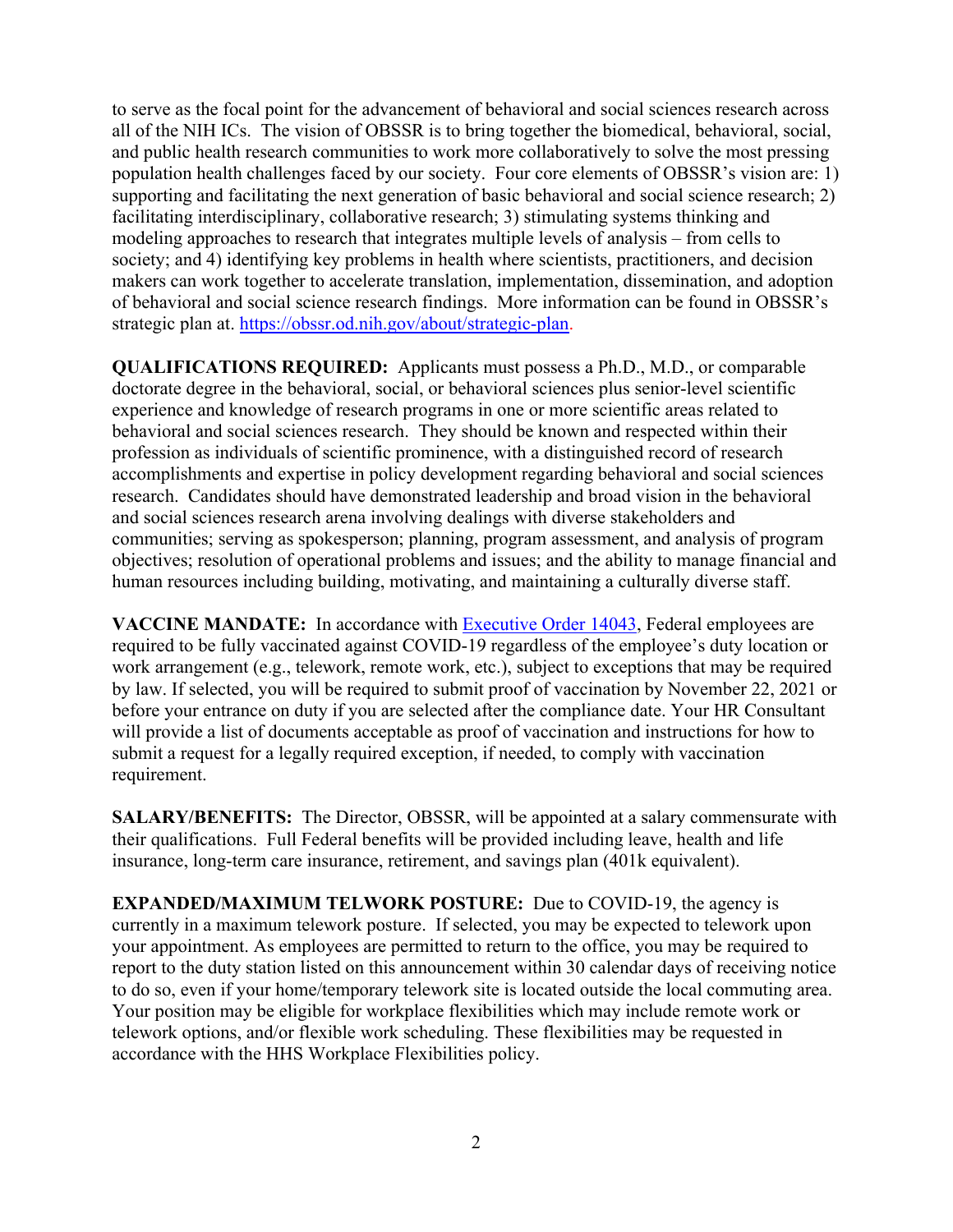to serve as the focal point for the advancement of behavioral and social sciences research across all of the NIH ICs. The vision of OBSSR is to bring together the biomedical, behavioral, social, and public health research communities to work more collaboratively to solve the most pressing population health challenges faced by our society. Four core elements of OBSSR's vision are: 1) supporting and facilitating the next generation of basic behavioral and social science research; 2) facilitating interdisciplinary, collaborative research; 3) stimulating systems thinking and modeling approaches to research that integrates multiple levels of analysis – from cells to society; and 4) identifying key problems in health where scientists, practitioners, and decision makers can work together to accelerate translation, implementation, dissemination, and adoption of behavioral and social science research findings. More information can be found in OBSSR's strategic plan at. [https://obssr.od.nih.gov/about/strategic-plan.](https://obssr.od.nih.gov/about/strategic-plan)

**QUALIFICATIONS REQUIRED:** Applicants must possess a Ph.D., M.D., or comparable doctorate degree in the behavioral, social, or behavioral sciences plus senior-level scientific experience and knowledge of research programs in one or more scientific areas related to behavioral and social sciences research. They should be known and respected within their profession as individuals of scientific prominence, with a distinguished record of research accomplishments and expertise in policy development regarding behavioral and social sciences research. Candidates should have demonstrated leadership and broad vision in the behavioral and social sciences research arena involving dealings with diverse stakeholders and communities; serving as spokesperson; planning, program assessment, and analysis of program objectives; resolution of operational problems and issues; and the ability to manage financial and human resources including building, motivating, and maintaining a culturally diverse staff.

**VACCINE MANDATE:** In accordance with [Executive Order 14043,](https://www.federalregister.gov/documents/2021/09/14/2021-19927/requiring-coronavirus-disease-2019-vaccination-for-federal-employees) Federal employees are required to be fully vaccinated against COVID-19 regardless of the employee's duty location or work arrangement (e.g., telework, remote work, etc.), subject to exceptions that may be required by law. If selected, you will be required to submit proof of vaccination by November 22, 2021 or before your entrance on duty if you are selected after the compliance date. Your HR Consultant will provide a list of documents acceptable as proof of vaccination and instructions for how to submit a request for a legally required exception, if needed, to comply with vaccination requirement.

**SALARY/BENEFITS:** The Director, OBSSR, will be appointed at a salary commensurate with their qualifications. Full Federal benefits will be provided including leave, health and life insurance, long-term care insurance, retirement, and savings plan (401k equivalent).

**EXPANDED/MAXIMUM TELWORK POSTURE:** Due to COVID-19, the agency is currently in a maximum telework posture. If selected, you may be expected to telework upon your appointment. As employees are permitted to return to the office, you may be required to report to the duty station listed on this announcement within 30 calendar days of receiving notice to do so, even if your home/temporary telework site is located outside the local commuting area. Your position may be eligible for workplace flexibilities which may include remote work or telework options, and/or flexible work scheduling. These flexibilities may be requested in accordance with the HHS Workplace Flexibilities policy.